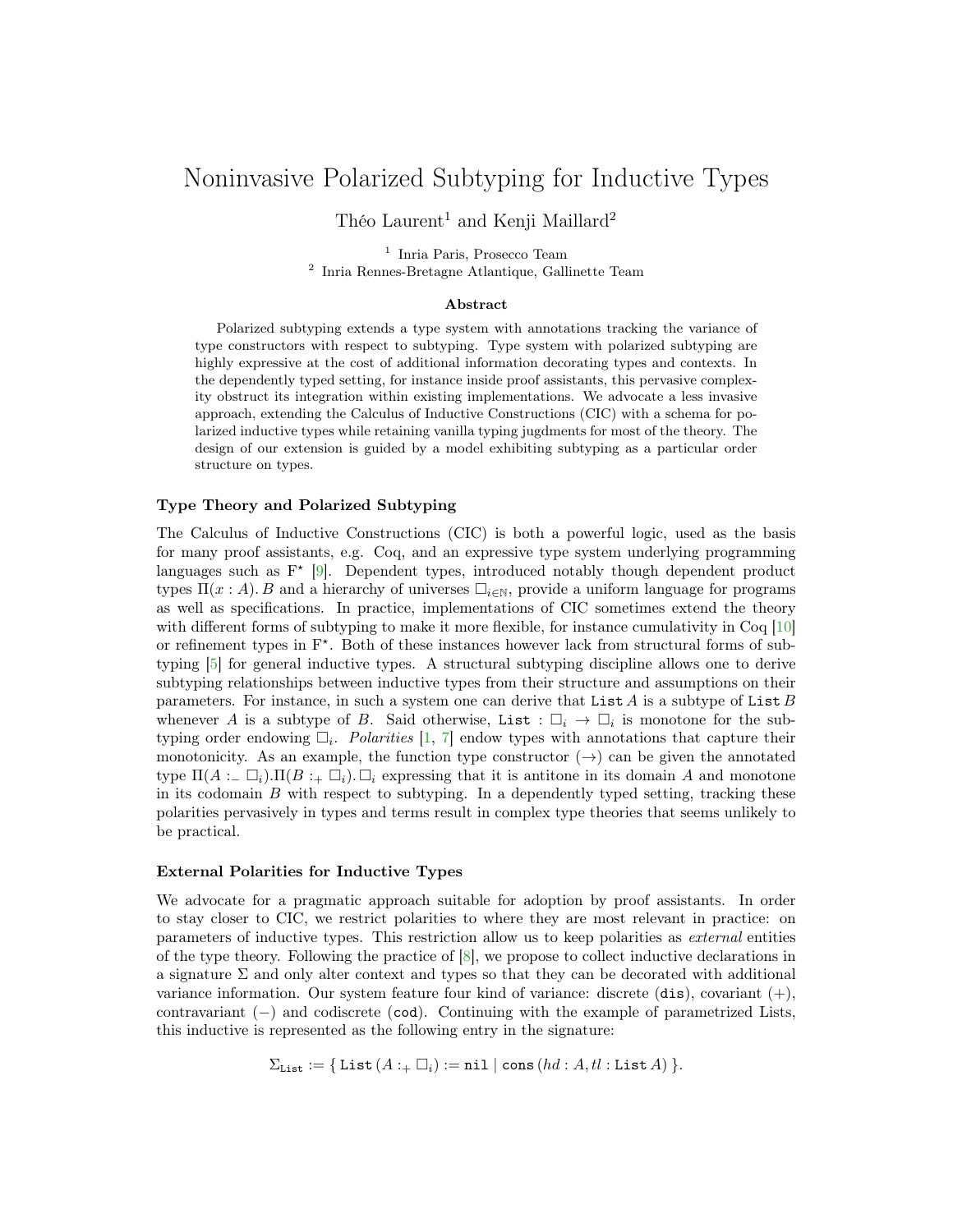# Noninvasive Polarized Subtyping for Inductive Types

Théo Laurent<sup>1</sup> and Kenji Maillard<sup>2</sup>

<sup>1</sup> Inria Paris, Prosecco Team 2 Inria Rennes-Bretagne Atlantique, Gallinette Team

### Abstract

Polarized subtyping extends a type system with annotations tracking the variance of type constructors with respect to subtyping. Type system with polarized subtyping are highly expressive at the cost of additional information decorating types and contexts. In the dependently typed setting, for instance inside proof assistants, this pervasive complexity obstruct its integration within existing implementations. We advocate a less invasive approach, extending the Calculus of Inductive Constructions (CIC) with a schema for polarized inductive types while retaining vanilla typing jugdments for most of the theory. The design of our extension is guided by a model exhibiting subtyping as a particular order structure on types.

#### Type Theory and Polarized Subtyping

The Calculus of Inductive Constructions (CIC) is both a powerful logic, used as the basis for many proof assistants, e.g. Coq, and an expressive type system underlying programming languages such as  $F^*$  [\[9\]](#page-2-0). Dependent types, introduced notably though dependent product types  $\Pi(x : A)$ . B and a hierarchy of universes  $\Box_{i\in\mathbb{N}}$ , provide a uniform language for programs as well as specifications. In practice, implementations of CIC sometimes extend the theory with different forms of subtyping to make it more flexible, for instance cumulativity in Coq [\[10\]](#page-2-1) or refinement types in  $F^*$ . Both of these instances however lack from structural forms of subtyping [\[5\]](#page-2-2) for general inductive types. A structural subtyping discipline allows one to derive subtyping relationships between inductive types from their structure and assumptions on their parameters. For instance, in such a system one can derive that List  $A$  is a subtype of List  $B$ whenever A is a subtype of B. Said otherwise, List :  $\Box_i \rightarrow \Box_i$  is monotone for the subtyping order endowing  $\Box_i$ . Polarities [\[1,](#page-1-0) [7\]](#page-2-3) endow types with annotations that capture their monotonicity. As an example, the function type constructor  $(\rightarrow)$  can be given the annotated type  $\Pi(A := \Box_i) \cdot \Pi(B := \Box_i) \cdot \Box_i$  expressing that it is antitone in its domain A and monotone in its codomain  $B$  with respect to subtyping. In a dependently typed setting, tracking these polarities pervasively in types and terms result in complex type theories that seems unlikely to be practical.

## External Polarities for Inductive Types

We advocate for a pragmatic approach suitable for adoption by proof assistants. In order to stay closer to CIC, we restrict polarities to where they are most relevant in practice: on parameters of inductive types. This restriction allow us to keep polarities as external entities of the type theory. Following the practice of [\[8\]](#page-2-4), we propose to collect inductive declarations in a signature  $\Sigma$  and only alter context and types so that they can be decorated with additional variance information. Our system feature four kind of variance: discrete  $(dis)$ , covariant  $(+)$ , contravariant (−) and codiscrete (cod). Continuing with the example of parametrized Lists, this inductive is represented as the following entry in the signature:

$$
\Sigma_{List} := \{ List(A : \sqcup_i) := \texttt{nil} \mid \texttt{cons}\,(hd : A, tl : List A) \}.
$$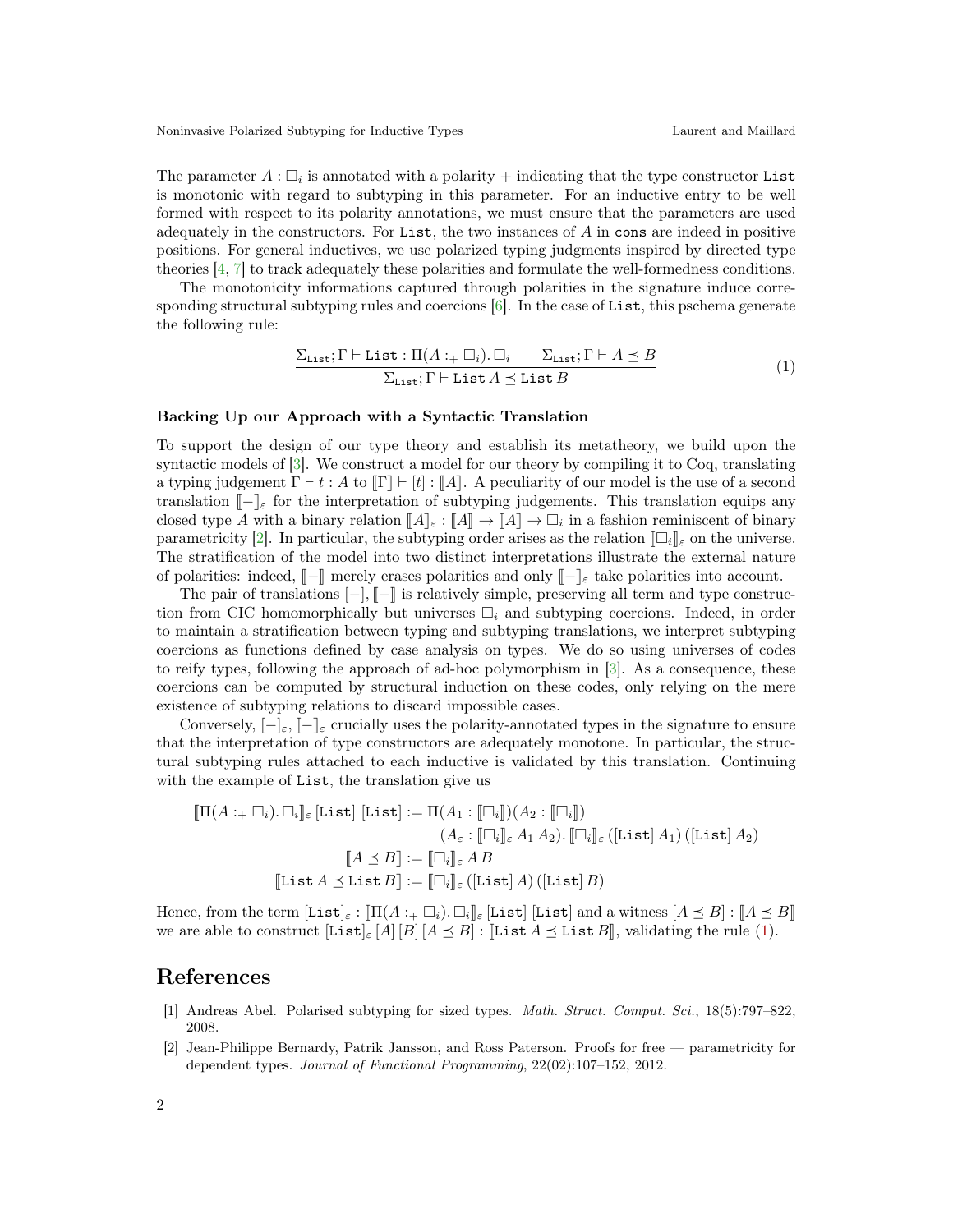The parameter  $A: \Box_i$  is annotated with a polarity + indicating that the type constructor List is monotonic with regard to subtyping in this parameter. For an inductive entry to be well formed with respect to its polarity annotations, we must ensure that the parameters are used adequately in the constructors. For List, the two instances of A in cons are indeed in positive positions. For general inductives, we use polarized typing judgments inspired by directed type theories [\[4,](#page-2-5) [7\]](#page-2-3) to track adequately these polarities and formulate the well-formedness conditions.

The monotonicity informations captured through polarities in the signature induce corresponding structural subtyping rules and coercions  $[6]$ . In the case of List, this pschema generate the following rule:

<span id="page-1-2"></span>
$$
\frac{\sum_{List} \Gamma \vdash List : \Pi(A : + \Box_i) . \Box_i \qquad \sum_{List} \Gamma \vdash A \preceq B}{\sum_{List} \Gamma \vdash List A \preceq List B} \tag{1}
$$

#### Backing Up our Approach with a Syntactic Translation

To support the design of our type theory and establish its metatheory, we build upon the syntactic models of [\[3\]](#page-2-7). We construct a model for our theory by compiling it to Coq, translating a typing judgement  $\Gamma \vdash t : A$  to  $\llbracket \Gamma \rrbracket \vdash [t] : \llbracket A \rrbracket$ . A peculiarity of our model is the use of a second translation  $\llbracket - \rrbracket_{\varepsilon}$  for the interpretation of subtyping judgements. This translation equips any closed type A with a binary relation  $\llbracket A \rrbracket_{\varepsilon} : \llbracket A \rrbracket \to \llbracket A \rrbracket \to \Box_i$  in a fashion reminiscent of binary<br>parametricity [2]. In particular, the subtyping order arises as the relation  $\llbracket \Box \rrbracket$  on the universe parametricity [\[2\]](#page-1-1). In particular, the subtyping order arises as the relation  $\|\Box_i\|_{\varepsilon}$  on the universe. The stratification of the model into two distinct interpretations illustrate the external nature of polarities: indeed,  $\llbracket -\rrbracket$  merely erases polarities and only  $\llbracket -\rrbracket_{\varepsilon}$  take polarities into account.

The pair of translations  $\vert - \vert$ ,  $\vert - \vert$  is relatively simple, preserving all term and type construction from CIC homomorphically but universes  $\Box_i$  and subtyping coercions. Indeed, in order to maintain a stratification between typing and subtyping translations, we interpret subtyping coercions as functions defined by case analysis on types. We do so using universes of codes to reify types, following the approach of ad-hoc polymorphism in [\[3\]](#page-2-7). As a consequence, these coercions can be computed by structural induction on these codes, only relying on the mere existence of subtyping relations to discard impossible cases.

Conversely,  $\lceil - \rceil_{\varepsilon}, \lceil - \rceil_{\varepsilon}$  crucially uses the polarity-annotated types in the signature to ensure that the interpretation of type constructors are adequately monotone. In particular, the structural subtyping rules attached to each inductive is validated by this translation. Continuing with the example of List, the translation give us

$$
\llbracket \Pi(A :_{+} \Box_{i}). \Box_{i} \rrbracket_{\varepsilon} \, [\text{List}] \, [\text{List}] := \Pi(A_{1} : [\Box_{i}]) (A_{2} : [\Box_{i}])
$$
\n
$$
(A_{\varepsilon} : [\Box_{i}]_{\varepsilon} A_{1} A_{2}). [\Box_{i}]_{\varepsilon} \, ([\text{List}] A_{1}) \, ([\text{List}] A_{2})
$$
\n
$$
[\hspace{-.1cm} [\hspace{-.1cm} [\Delta \preceq B] \hspace{-.1cm} ] := [\Box_{i}]_{\varepsilon} A_{1} B
$$
\n
$$
[\text{List } A \preceq \text{List } B] := [\Box_{i}]_{\varepsilon} \, ([\text{List}] A) \, ([\text{List}] B)
$$

Hence, from the term  $[\text{List}]_\varepsilon : \llbracket \Pi(A + \Box_i) \cdot \Box_i \rrbracket_\varepsilon$  [List] and a witness  $[A \preceq B] : \llbracket A \preceq B \rrbracket$ we are able to construct  $[List]_{\epsilon}[A][B][A \preceq B]$ :  $[List A \preceq List B]$ , validating the rule [\(1\)](#page-1-2).

# References

- <span id="page-1-0"></span>[1] Andreas Abel. Polarised subtyping for sized types. Math. Struct. Comput. Sci., 18(5):797–822, 2008.
- <span id="page-1-1"></span>[2] Jean-Philippe Bernardy, Patrik Jansson, and Ross Paterson. Proofs for free — parametricity for dependent types. Journal of Functional Programming, 22(02):107–152, 2012.